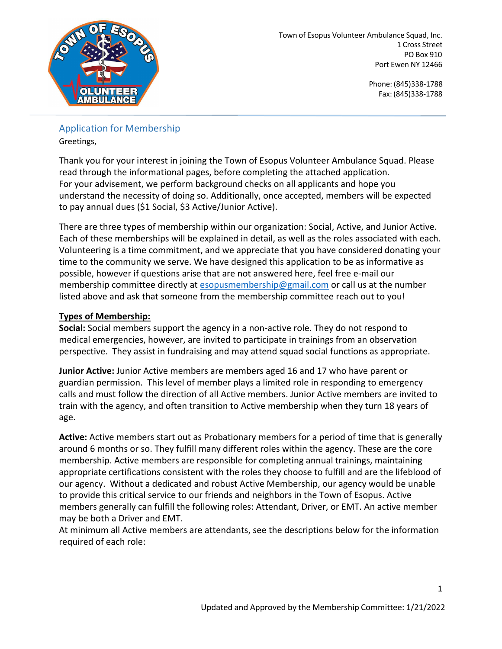

## Application for Membership Greetings,

Thank you for your interest in joining the Town of Esopus Volunteer Ambulance Squad. Please read through the informational pages, before completing the attached application. For your advisement, we perform background checks on all applicants and hope you understand the necessity of doing so. Additionally, once accepted, members will be expected to pay annual dues (\$1 Social, \$3 Active/Junior Active).

There are three types of membership within our organization: Social, Active, and Junior Active. Each of these memberships will be explained in detail, as well as the roles associated with each. Volunteering is a time commitment, and we appreciate that you have considered donating your time to the community we serve. We have designed this application to be as informative as possible, however if questions arise that are not answered here, feel free e-mail our membership committee directly at esopusmembership@gmail.com or call us at the number listed above and ask that someone from the membership committee reach out to you!

## **Types of Membership:**

**Social:** Social members support the agency in a non-active role. They do not respond to medical emergencies, however, are invited to participate in trainings from an observation perspective. They assist in fundraising and may attend squad social functions as appropriate.

**Junior Active:** Junior Active members are members aged 16 and 17 who have parent or guardian permission. This level of member plays a limited role in responding to emergency calls and must follow the direction of all Active members. Junior Active members are invited to train with the agency, and often transition to Active membership when they turn 18 years of age.

**Active:** Active members start out as Probationary members for a period of time that is generally around 6 months or so. They fulfill many different roles within the agency. These are the core membership. Active members are responsible for completing annual trainings, maintaining appropriate certifications consistent with the roles they choose to fulfill and are the lifeblood of our agency. Without a dedicated and robust Active Membership, our agency would be unable to provide this critical service to our friends and neighbors in the Town of Esopus. Active members generally can fulfill the following roles: Attendant, Driver, or EMT. An active member may be both a Driver and EMT.

At minimum all Active members are attendants, see the descriptions below for the information required of each role: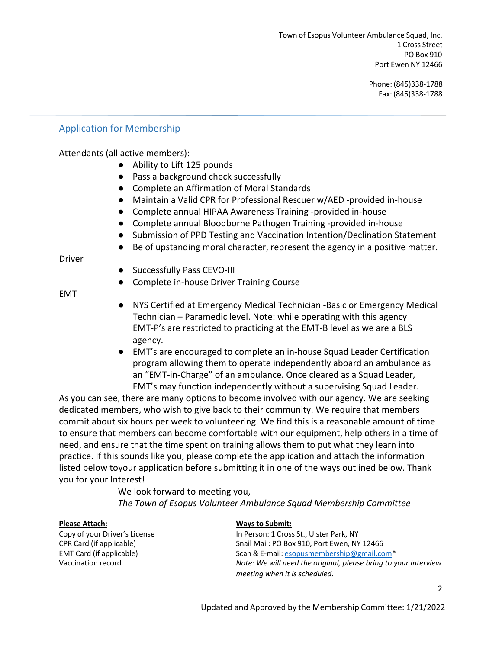### Application for Membership

Attendants (all active members):

- Ability to Lift 125 pounds
- Pass a background check successfully
- Complete an Affirmation of Moral Standards
- Maintain a Valid CPR for Professional Rescuer w/AED -provided in-house
- Complete annual HIPAA Awareness Training -provided in-house
- Complete annual Bloodborne Pathogen Training -provided in-house
- Submission of PPD Testing and Vaccination Intention/Declination Statement
- Be of upstanding moral character, represent the agency in a positive matter.

Driver

- Successfully Pass CEVO-III
- Complete in-house Driver Training Course

EMT

- NYS Certified at Emergency Medical Technician -Basic or Emergency Medical Technician – Paramedic level. Note: while operating with this agency EMT-P's are restricted to practicing at the EMT-B level as we are a BLS agency.
- EMT's are encouraged to complete an in-house Squad Leader Certification program allowing them to operate independently aboard an ambulance as an "EMT-in-Charge" of an ambulance. Once cleared as a Squad Leader, EMT's may function independently without a supervising Squad Leader.

As you can see, there are many options to become involved with our agency. We are seeking dedicated members, who wish to give back to their community. We require that members commit about six hours per week to volunteering. We find this is a reasonable amount of time to ensure that members can become comfortable with our equipment, help others in a time of need, and ensure that the time spent on training allows them to put what they learn into practice. If this sounds like you, please complete the application and attach the information listed below toyour application before submitting it in one of the ways outlined below. Thank you for your Interest!

> We look forward to meeting you, *The Town of Esopus Volunteer Ambulance Squad Membership Committee*

#### **Please Attach: Ways to Submit:**

Copy of your Driver's License In Person: 1 Cross St., Ulster Park, NY CPR Card (if applicable) Snail Mail: PO Box 910, Port Ewen, NY 12466 EMT Card (if applicable) Scan & E-mail: esopusmembership@gmail.com\* Vaccination record *Note: We will need the original, please bring to your interview meeting when it is scheduled.*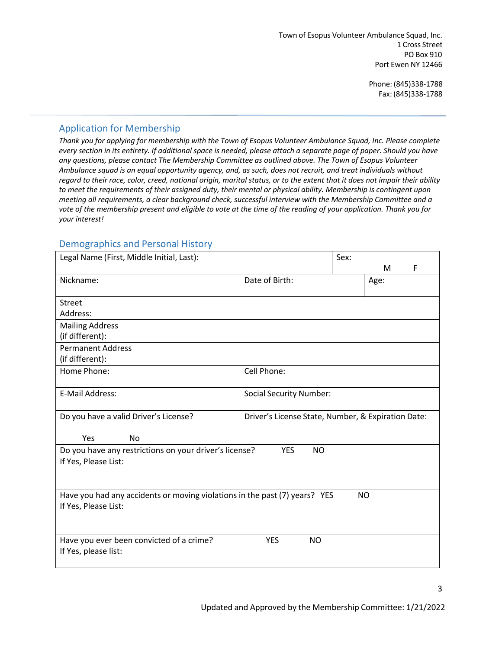## Application for Membership

*Thank you for applying for membership with the Town of Esopus Volunteer Ambulance Squad, Inc. Please complete every section in its entirety. If additional space is needed, please attach a separate page of paper. Should you have any questions, please contact The Membership Committee as outlined above. The Town of Esopus Volunteer Ambulance squad is an equal opportunity agency, and, as such, does not recruit, and treat individuals without regard to their race, color, creed, national origin, marital status, or to the extent that it does not impair their ability to meet the requirements of their assigned duty, their mental or physical ability. Membership is contingent upon meeting all requirements, a clear background check, successful interview with the Membership Committee and a vote of the membership present and eligible to vote at the time of the reading of your application. Thank you for your interest!*

### Demographics and Personal History

| Legal Name (First, Middle Initial, Last):                                                          |                                                    | Sex: |           |   |
|----------------------------------------------------------------------------------------------------|----------------------------------------------------|------|-----------|---|
|                                                                                                    |                                                    |      | M         | F |
| Nickname:                                                                                          | Date of Birth:                                     |      | Age:      |   |
| Street                                                                                             |                                                    |      |           |   |
| Address:                                                                                           |                                                    |      |           |   |
| <b>Mailing Address</b><br>(if different):                                                          |                                                    |      |           |   |
| <b>Permanent Address</b>                                                                           |                                                    |      |           |   |
| (if different):                                                                                    |                                                    |      |           |   |
| Home Phone:                                                                                        | Cell Phone:                                        |      |           |   |
| E-Mail Address:                                                                                    | <b>Social Security Number:</b>                     |      |           |   |
| Do you have a valid Driver's License?                                                              | Driver's License State, Number, & Expiration Date: |      |           |   |
| Yes<br><b>No</b>                                                                                   |                                                    |      |           |   |
| Do you have any restrictions on your driver's license?<br>If Yes, Please List:                     | <b>YES</b><br>NO.                                  |      |           |   |
| Have you had any accidents or moving violations in the past (7) years? YES<br>If Yes, Please List: |                                                    |      | <b>NO</b> |   |
| Have you ever been convicted of a crime?<br>If Yes, please list:                                   | <b>YES</b><br><b>NO</b>                            |      |           |   |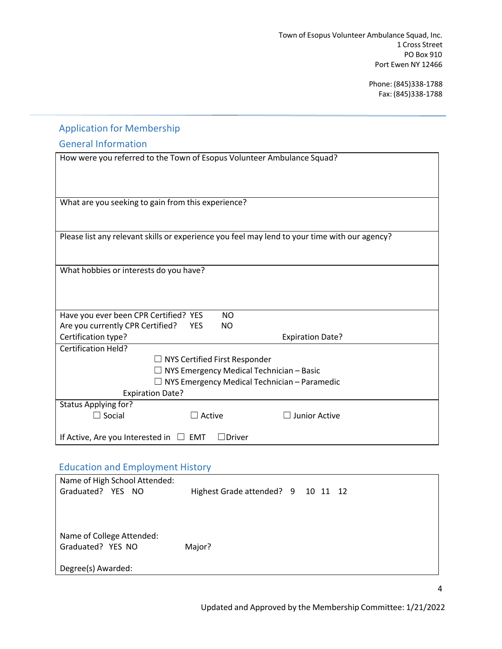# Application for Membership

## General Information

| How were you referred to the Town of Esopus Volunteer Ambulance Squad?                        |                                                     |                         |
|-----------------------------------------------------------------------------------------------|-----------------------------------------------------|-------------------------|
|                                                                                               |                                                     |                         |
|                                                                                               |                                                     |                         |
| What are you seeking to gain from this experience?                                            |                                                     |                         |
|                                                                                               |                                                     |                         |
| Please list any relevant skills or experience you feel may lend to your time with our agency? |                                                     |                         |
|                                                                                               |                                                     |                         |
|                                                                                               |                                                     |                         |
| What hobbies or interests do you have?                                                        |                                                     |                         |
|                                                                                               |                                                     |                         |
|                                                                                               |                                                     |                         |
| Have you ever been CPR Certified? YES                                                         | <b>NO</b>                                           |                         |
| Are you currently CPR Certified?                                                              | NO.<br><b>YES</b>                                   |                         |
| Certification type?                                                                           |                                                     | <b>Expiration Date?</b> |
| <b>Certification Held?</b>                                                                    |                                                     |                         |
|                                                                                               | $\Box$ NYS Certified First Responder                |                         |
| $\Box$ NYS Emergency Medical Technician – Basic                                               |                                                     |                         |
|                                                                                               | $\Box$ NYS Emergency Medical Technician – Paramedic |                         |
| <b>Expiration Date?</b>                                                                       |                                                     |                         |
| <b>Status Applying for?</b>                                                                   |                                                     |                         |
| $\Box$ Social                                                                                 | $\Box$ Active                                       | Junior Active           |
|                                                                                               |                                                     |                         |
| If Active, Are you Interested in $\Box$ EMT                                                   | ∃Driver                                             |                         |

## Education and Employment History

| Name of High School Attended: |                                    |  |  |
|-------------------------------|------------------------------------|--|--|
| Graduated? YES NO             | Highest Grade attended? 9 10 11 12 |  |  |
|                               |                                    |  |  |
|                               |                                    |  |  |
|                               |                                    |  |  |
| Name of College Attended:     |                                    |  |  |
| Graduated? YES NO             | Major?                             |  |  |
|                               |                                    |  |  |
| Degree(s) Awarded:            |                                    |  |  |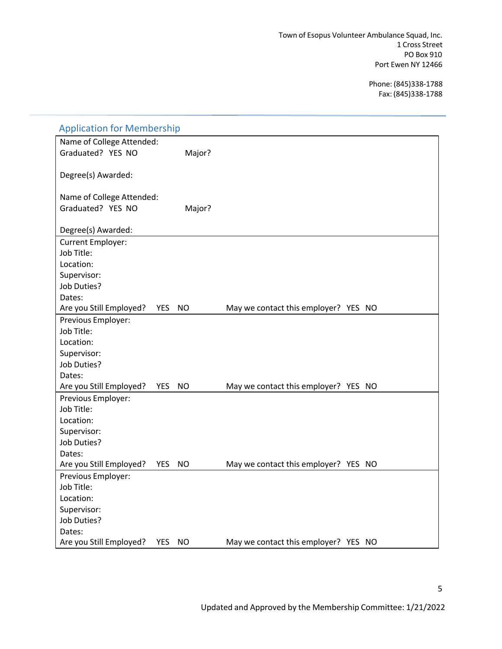| <b>Application for Membership</b>                  |                                      |
|----------------------------------------------------|--------------------------------------|
| Name of College Attended:                          |                                      |
| Graduated? YES NO<br>Major?                        |                                      |
|                                                    |                                      |
| Degree(s) Awarded:                                 |                                      |
|                                                    |                                      |
| Name of College Attended:                          |                                      |
| Graduated? YES NO<br>Major?                        |                                      |
|                                                    |                                      |
| Degree(s) Awarded:                                 |                                      |
| Current Employer:                                  |                                      |
| Job Title:                                         |                                      |
| Location:                                          |                                      |
| Supervisor:                                        |                                      |
| Job Duties?                                        |                                      |
| Dates:                                             |                                      |
| Are you Still Employed?<br>YES<br>NO.              | May we contact this employer? YES NO |
| Previous Employer:                                 |                                      |
| Job Title:                                         |                                      |
| Location:                                          |                                      |
| Supervisor:                                        |                                      |
| Job Duties?                                        |                                      |
| Dates:                                             |                                      |
| <b>NO</b><br>Are you Still Employed?<br><b>YES</b> | May we contact this employer? YES NO |
| Previous Employer:                                 |                                      |
| Job Title:                                         |                                      |
| Location:                                          |                                      |
| Supervisor:                                        |                                      |
| Job Duties?                                        |                                      |
| Dates:                                             |                                      |
| Are you Still Employed?<br><b>YES</b><br>NO.       | May we contact this employer? YES NO |
| Previous Employer:                                 |                                      |
| Job Title:                                         |                                      |
| Location:                                          |                                      |
| Supervisor:                                        |                                      |
| Job Duties?                                        |                                      |
| Dates:                                             |                                      |
| Are you Still Employed?<br><b>YES</b><br>NO        | May we contact this employer? YES NO |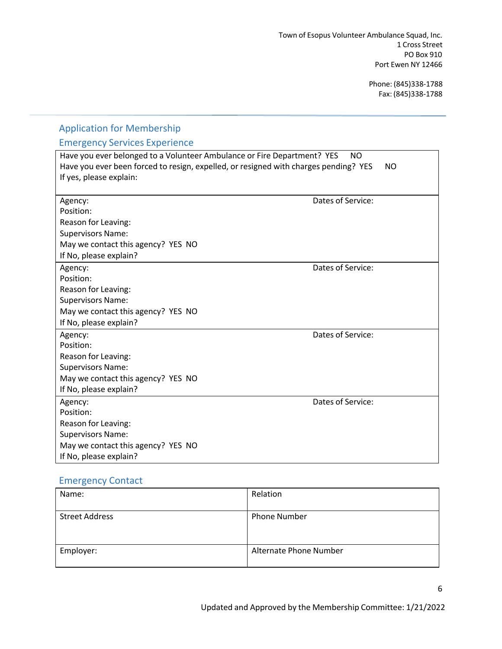| <b>Application for Membership</b>                                                                                                                                                          |                       |
|--------------------------------------------------------------------------------------------------------------------------------------------------------------------------------------------|-----------------------|
| <b>Emergency Services Experience</b>                                                                                                                                                       |                       |
| Have you ever belonged to a Volunteer Ambulance or Fire Department? YES<br>Have you ever been forced to resign, expelled, or resigned with charges pending? YES<br>If yes, please explain: | NO.<br>N <sub>O</sub> |
| Agency:<br>Position:<br>Reason for Leaving:<br><b>Supervisors Name:</b><br>May we contact this agency? YES NO<br>If No, please explain?                                                    | Dates of Service:     |
| Agency:<br>Position:<br>Reason for Leaving:<br><b>Supervisors Name:</b><br>May we contact this agency? YES NO<br>If No, please explain?                                                    | Dates of Service:     |
| Agency:<br>Position:<br>Reason for Leaving:<br><b>Supervisors Name:</b><br>May we contact this agency? YES NO<br>If No, please explain?                                                    | Dates of Service:     |
| Agency:<br>Position:<br>Reason for Leaving:<br><b>Supervisors Name:</b><br>May we contact this agency? YES NO<br>If No, please explain?                                                    | Dates of Service:     |

## Emergency Contact

| Name:                 | Relation               |
|-----------------------|------------------------|
|                       |                        |
| <b>Street Address</b> | <b>Phone Number</b>    |
|                       |                        |
|                       |                        |
| Employer:             | Alternate Phone Number |
|                       |                        |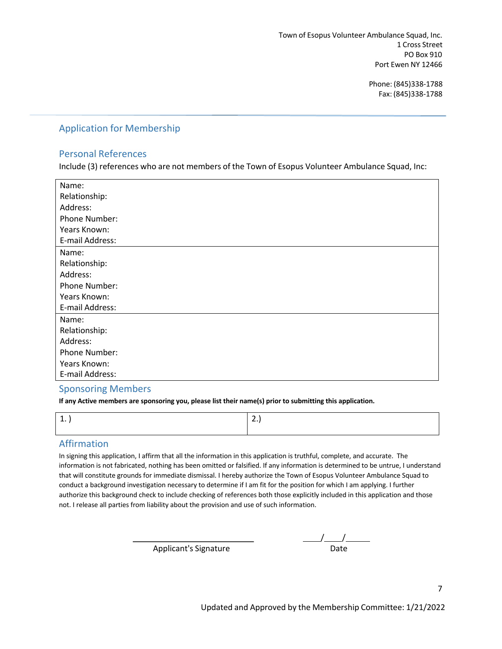### Application for Membership

#### Personal References

Include (3) references who are not members of the Town of Esopus Volunteer Ambulance Squad, Inc:

| Name:                |
|----------------------|
| Relationship:        |
| Address:             |
| Phone Number:        |
| Years Known:         |
| E-mail Address:      |
| Name:                |
| Relationship:        |
| Address:             |
| Phone Number:        |
| Years Known:         |
| E-mail Address:      |
| Name:                |
| Relationship:        |
| Address:             |
| <b>Phone Number:</b> |
| Years Known:         |
| E-mail Address:      |

#### Sponsoring Members

**If any Active members are sponsoring you, please list their name(s) prior to submitting this application.**

## Affirmation

In signing this application, I affirm that all the information in this application is truthful, complete, and accurate. The information is not fabricated, nothing has been omitted or falsified. If any information is determined to be untrue, I understand that will constitute grounds for immediate dismissal. I hereby authorize the Town of Esopus Volunteer Ambulance Squad to conduct a background investigation necessary to determine if I am fit for the position for which I am applying. I further authorize this background check to include checking of references both those explicitly included in this application and those not. I release all parties from liability about the provision and use of such information.

Applicant's Signature

| Date |  |
|------|--|